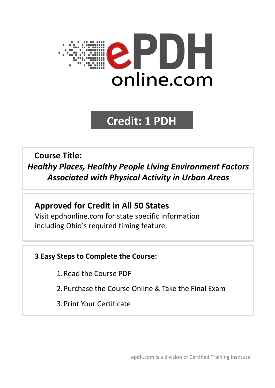

# **Credit: 1 PDH**

**Course Title:** *Healthy Places, Healthy People Living Environment Factors Associated with Physical Activity in Urban Areas*

**Approved for Credit in All 50 States** Visit epdhonline.com for state specific information including Ohio's required timing feature.

**3 Easy Steps to Complete the Course:**

- 1.Read the Course PDF
- 2.Purchase the Course Online & Take the Final Exam
- 3.Print Your Certificate

epdh.com is a division of Certified Training Institute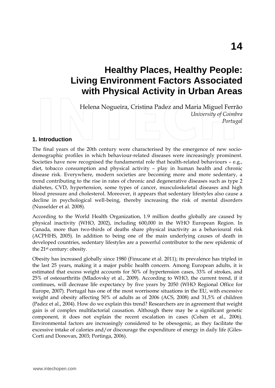# **Healthy Places, Healthy People: Living Environment Factors Associated with Physical Activity in Urban Areas**

Helena Nogueira, Cristina Padez and Maria Miguel Ferrão *University of Coimbra Portugal* 

#### **1. Introduction**

The final years of the 20th century were characterised by the emergence of new sociodemographic profiles in which behaviour-related diseases were increasingly prominent. Societies have now recognised the fundamental role that health-related behaviours – e.g., diet, tobacco consumption and physical activity – play in human health and chronic disease risk. Everywhere, modern societies are becoming more and more sedentary, a trend contributing to the rise in rates of chronic and degenerative diseases such as type 2 diabetes, CVD, hypertension, some types of cancer, musculoskeletal diseases and high blood pressure and cholesterol. Moreover, it appears that sedentary lifestyles also cause a decline in psychological well-being, thereby increasing the risk of mental disorders (Nusselder et al. 2008).

According to the World Health Organization, 1.9 million deaths globally are caused by physical inactivity (WHO, 2002), including 600,000 in the WHO European Region. In Canada, more than two-thirds of deaths share physical inactivity as a behavioural risk (ACPHHS, 2005). In addition to being one of the main underlying causes of death in developed countries, sedentary lifestyles are a powerful contributor to the new epidemic of the 21st century: obesity.

Obesity has increased globally since 1980 (Finucane et al. 2011); its prevalence has tripled in the last 25 years, making it a major public health concern. Among European adults, it is estimated that excess weight accounts for 50% of hypertension cases, 33% of strokes, and 25% of osteoarthritis (Mladovsky et al., 2009). According to WHO, the current trend, if it continues, will decrease life expectancy by five years by 2050 (WHO Regional Office for Europe, 2007). Portugal has one of the most worrisome situations in the EU, with excessive weight and obesity affecting 50% of adults as of 2006 (ACS, 2008) and 31,5% of children (Padez et al., 2004). How do we explain this trend? Researchers are in agreement that weight gain is of complex multifactorial causation. Although there may be a significant genetic component, it does not explain the recent escalation in cases (Cohen et al., 2006). Environmental factors are increasingly considered to be obesogenic, as they facilitate the excessive intake of calories and/or discourage the expenditure of energy in daily life (Giles-Corti and Donovan, 2003; Portinga, 2006).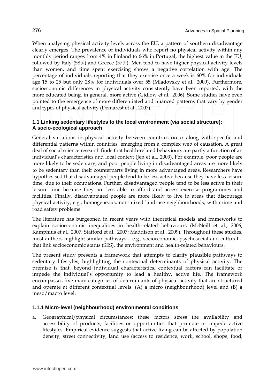When analysing physical activity levels across the EU, a pattern of southern disadvantage clearly emerges. The prevalence of individuals who report no physical activity within any monthly period ranges from 4% in Finland to 66% in Portugal, the highest value in the EU, followed by Italy (58%) and Greece (57%). Men tend to have higher physical activity levels than women, and time spent exercising shows a negative correlation with age. The percentage of individuals reporting that they exercise once a week is 60% for individuals age 15 to 25 but only 28% for individuals over 55 (Mladovsky et al., 2009). Furthermore, socioeconomic differences in physical activity consistently have been reported, with the more educated being, in general, more active (Gidlow et al., 2006). Some studies have even pointed to the emergence of more differentiated and nuanced patterns that vary by gender and types of physical activity (Demarest et al., 2007).

#### **1.1 Linking sedentary lifestyles to the local environment (via social structure): A socio-ecological approach**

General variations in physical activity between countries occur along with specific and differential patterns within countries, emerging from a complex web of causation. A great deal of social science research finds that health-related behaviours are partly a function of an individual's characteristics and local context (Jen et al., 2009). For example, poor people are more likely to be sedentary, and poor people living in disadvantaged areas are more likely to be sedentary than their counterparts living in more advantaged areas. Researchers have hypothesised that disadvantaged people tend to be less active because they have less leisure time, due to their occupations. Further, disadvantaged people tend to be less active in their leisure time because they are less able to afford and access exercise programmes and facilities. Finally, disadvantaged people are more likely to live in areas that discourage physical activity, e.g., homogeneous, non-mixed land-use neighbourhoods, with crime and road safety problems.

The literature has burgeoned in recent years with theoretical models and frameworks to explain socioeconomic inequalities in health-related behaviours (McNeill et al., 2006; Kamphius et al., 2007; Stafford et al., 2007; Maddison et al., 2009). Throughout these studies, most authors highlight similar pathways – e.g., socioeconomic, psychosocial and cultural – that link socioeconomic status (SES), the environment and health-related behaviours.

The present study presents a framework that attempts to clarify plausible pathways to sedentary lifestyles, highlighting the contextual determinants of physical activity. The premise is that, beyond individual characteristics, contextual factors can facilitate or impede the individual's opportunity to lead a healthy, active life. The framework encompasses five main categories of determinants of physical activity that are structured and operate at different contextual levels: (A) a micro (neighbourhood) level and (B) a meso/macro level.

#### **1.1.1 Micro-level (neighbourhood) environmental conditions**

a. Geographical/physical circumstances: these factors stress the availability and accessibility of products, facilities or opportunities that promote or impede active lifestyles. Empirical evidence suggests that active living can be affected by population density, street connectivity, land use (access to residence, work, school, shops, food,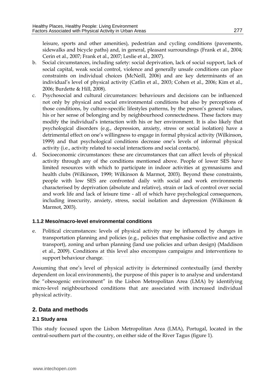leisure, sports and other amenities), pedestrian and cycling conditions (pavements, sidewalks and bicycle paths) and, in general, pleasant surroundings (Frank et al., 2004; Cerin et al., 2007; Frank et al., 2007; Leslie et al., 2007).

- b. Social circumstances, including safety: social deprivation, lack of social support, lack of social capital, weak social control, violence and generally unsafe conditions can place constraints on individual choices (McNeill, 2006) and are key determinants of an individual's level of physical activity (Catlin et al., 2003; Cohen et al., 2006; Kim et al., 2006; Burdette & Hill, 2008).
- c. Psychosocial and cultural circumstances: behaviours and decisions can be influenced not only by physical and social environmental conditions but also by perceptions of those conditions, by culture-specific lifestyles patterns, by the person's general values, his or her sense of belonging and by neighbourhood connectedness. These factors may modify the individual's interaction with his or her environment. It is also likely that psychological disorders (e.g., depression, anxiety, stress or social isolation) have a detrimental effect on one's willingness to engage in formal physical activity (Wilkinson, 1999) and that psychological conditions decrease one's levels of informal physical activity (i.e., activity related to social interactions and social contacts).
- d. Socioeconomic circumstances: these are circumstances that can affect levels of physical activity through any of the conditions mentioned above. People of lower SES have limited resources with which to participate in indoor activities at gymnasiums and health clubs (Wilkinson, 1999; Wilkinson & Marmot, 2003). Beyond these constraints, people with low SES are confronted daily with social and work environments characterised by deprivation (absolute and relative), strain or lack of control over social and work life and lack of leisure time - all of which have psychological consequences, including insecurity, anxiety, stress, social isolation and depression (Wilkinson & Marmot, 2003).

## **1.1.2 Meso/macro-level environmental conditions**

e. Political circumstances: levels of physical activity may be influenced by changes in transportation planning and policies (e.g., policies that emphasise collective and active transport), zoning and urban planning (land use policies and urban design) (Maddison et al., 2009). Conditions at this level also encompass campaigns and interventions to support behaviour change.

Assuming that one's level of physical activity is determined contextually (and thereby dependent on local environments), the purpose of this paper is to analyse and understand the "obesogenic environment" in the Lisbon Metropolitan Area (LMA) by identifying micro-level neighbourhood conditions that are associated with increased individual physical activity.

# **2. Data and methods**

## **2.1 Study area**

This study focused upon the Lisbon Metropolitan Area (LMA), Portugal, located in the central-southern part of the country, on either side of the River Tagus (figure 1).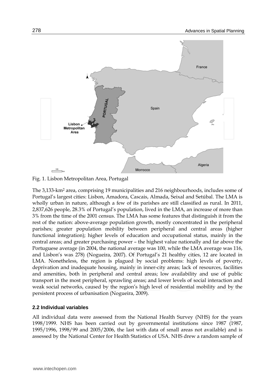

Fig. 1. Lisbon Metropolitan Area, Portugal

The 3,133-km2 area, comprising 19 municipalities and 216 neighbourhoods, includes some of Portugal's largest cities: Lisbon, Amadora, Cascais, Almada, Seixal and Setúbal. The LMA is wholly urban in nature, although a few of its parishes are still classified as rural. In 2011, 2,837,626 people, 28.3% of Portugal's population, lived in the LMA, an increase of more than 3% from the time of the 2001 census. The LMA has some features that distinguish it from the rest of the nation: above-average population growth, mostly concentrated in the peripheral parishes; greater population mobility between peripheral and central areas (higher functional integration); higher levels of education and occupational status, mainly in the central areas; and greater purchasing power – the highest value nationally and far above the Portuguese average (in 2004, the national average was 100, while the LMA average was 116, and Lisbon's was 278) (Nogueira, 2007). Of Portugal's 21 healthy cities, 12 are located in LMA. Nonetheless, the region is plagued by social problems: high levels of poverty, deprivation and inadequate housing, mainly in inner-city areas; lack of resources, facilities and amenities, both in peripheral and central areas; low availability and use of public transport in the most peripheral, sprawling areas; and lower levels of social interaction and weak social networks, caused by the region's high level of residential mobility and by the persistent process of urbanisation (Nogueira, 2009).

#### **2.2 Individual variables**

All individual data were assessed from the National Health Survey (NHS) for the years 1998/1999. NHS has been carried out by governmental institutions since 1987 (1987, 1995/1996, 1998/99 and 2005/2006, the last with data of small areas not available) and is assessed by the National Center for Health Statistics of USA. NHS drew a random sample of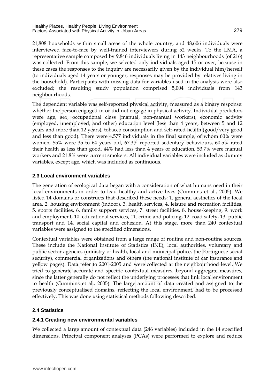21,808 households within small areas of the whole country, and 48,606 individuals were interviewed face-to-face by well-trained interviewers during 52 weeks. To the LMA, a representative sample composed by 9,846 individuals living in 143 neighbourhoods (of 216) was collected. From this sample, we selected only individuals aged 15 or over, because in these cases the responses to the inquiry are necessarily given by the individual him/herself (to individuals aged 14 years or younger, responses may be provided by relatives living in the household). Participants with missing data for variables used in the analysis were also excluded; the resulting study population comprised 5,004 individuals from 143 neighbourhoods.

The dependent variable was self-reported physical activity, measured as a binary response: whether the person engaged in or did not engage in physical activity. Individual predictors were age, sex, occupational class (manual, non-manual workers), economic activity (employed, unemployed, and other) education level (less than 4 years, between 5 and 12 years and more than 12 years), tobacco consumption and self-rated health (good/very good and less than good). There were 4,577 individuals in the final sample, of whom 60% were women, 55% were 35 to 64 years old, 67.3% reported sedentary behaviours, 60.5% rated their health as less than good, 44% had less than 4 years of education, 53.7% were manual workers and 21.8% were current smokers. All individual variables were included as dummy variables, except age, which was included as continuous.

#### **2.3 Local environment variables**

The generation of ecological data began with a consideration of what humans need in their local environments in order to lead healthy and active lives (Cummins et al., 2005). We listed 14 domains or constructs that described these needs: 1. general aesthetics of the local area, 2. housing environment (indoor), 3. health services, 4. leisure and recreation facilities, 5. sports facilities, 6. family support services, 7. street facilities, 8. house-keeping, 9. work and employment, 10. educational services, 11. crime and policing, 12. road safety, 13. public transport and 14. social capital and cohesion. At this stage, more than 240 contextual variables were assigned to the specified dimensions.

Contextual variables were obtained from a large range of routine and non-routine sources. These include the National Institute of Statistics (INE), local authorities, voluntary and public sector agencies (ministry of health, local and municipal police, the Portuguese social security), commercial organizations and others (the national institute of car insurance and yellow pages). Data refer to 2001-2005 and were collected at the neighbourhood level. We tried to generate accurate and specific contextual measures, beyond aggregate measures, since the latter generally do not reflect the underlying processes that link local environment to health (Cummins et al., 2005). The large amount of data created and assigned to the previously conceptualised domains, reflecting the local environment, had to be processed effectively. This was done using statistical methods following described.

## **2.4 Statistics**

## **2.4.1 Creating new environmental variables**

We collected a large amount of contextual data (246 variables) included in the 14 specified dimensions. Principal component analyses (PCAs) were performed to explore and reduce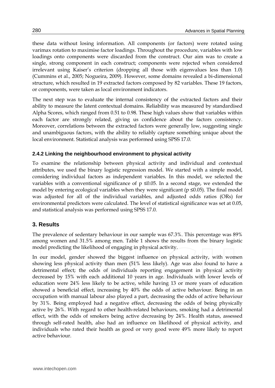these data without losing information. All components (or factors) were rotated using varimax rotation to maximise factor loadings. Throughout the procedure, variables with low loadings onto components were discarded from the construct. Our aim was to create a single, strong component in each construct; components were rejected when considered irrelevant using Kaiser's criterion (dropping all those with eigenvalues less than 1.0) (Cummins et al., 2005; Nogueira, 2009). However, some domains revealed a bi-dimensional structure, which resulted in 19 extracted factors composed by 82 variables. These 19 factors, or components, were taken as local environment indicators.

The next step was to evaluate the internal consistency of the extracted factors and their ability to measure the latent contextual domains. Reliability was measured by standardised Alpha Scores, which ranged from 0.51 to 0.98. These high values show that variables within each factor are strongly related, giving us confidence about the factors consistency. Moreover, correlations between the extracted factors were generally low, suggesting single and unambiguous factors, with the ability to reliably capture something unique about the local environment. Statistical analysis was performed using SPSS 17.0.

## **2.4.2 Linking the neighbourhood environment to physical activity**

To examine the relationship between physical activity and individual and contextual attributes, we used the binary logistic regression model. We started with a simple model, considering individual factors as independent variables. In this model, we selected the variables with a conventional significance of  $p \le 0.05$ . In a second stage, we extended the model by entering ecological variables when they were significant ( $p \le 0.05$ ). The final model was adjusted for all of the individual variables, and adjusted odds ratios (ORs) for environmental predictors were calculated. The level of statistical significance was set at 0.05, and statistical analysis was performed using SPSS 17.0.

# **3. Results**

The prevalence of sedentary behaviour in our sample was 67.3%. This percentage was 89% among women and 31.5% among men. Table 1 shows the results from the binary logistic model predicting the likelihood of engaging in physical activity.

In our model, gender showed the biggest influence on physical activity, with women showing less physical activity than men (51% less likely). Age was also found to have a detrimental effect; the odds of individuals reporting engagement in physical activity decreased by 15% with each additional 10 years in age. Individuals with lower levels of education were 24% less likely to be active, while having 13 or more years of education showed a beneficial effect, increasing by 40% the odds of active behaviour. Being in an occupation with manual labour also played a part, decreasing the odds of active behaviour by 31%. Being employed had a negative effect, decreasing the odds of being physically active by 26%. With regard to other health-related behaviours, smoking had a detrimental effect, with the odds of smokers being active decreasing by 24%. Health status, assessed through self-rated health, also had an influence on likelihood of physical activity, and individuals who rated their health as good or very good were 49% more likely to report active behaviour.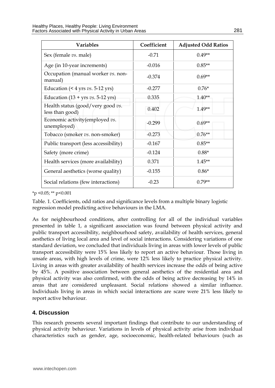| <b>Variables</b>                                     | Coefficient | <b>Adjusted Odd Ratios</b> |
|------------------------------------------------------|-------------|----------------------------|
| Sex (female vs. male)                                | $-0.71$     | $0.49**$                   |
| Age (in 10-year increments)                          | $-0.016$    | $0.85**$                   |
| Occupation (manual worker vs. non-<br>manual)        | $-0.374$    | $0.69**$                   |
| Education (< 4 yrs $vs.$ 5-12 yrs)                   | $-0.277$    | $0.76*$                    |
| Education $(13 + yrs vs. 5-12 yrs)$                  | 0.335       | $1.40**$                   |
| Health status (good/very good vs.<br>less than good) | 0.402       | $1.49**$                   |
| Economic activity (employed vs.<br>unemployed)       | $-0.299$    | $0.69**$                   |
| Tobacco (smoker <i>vs.</i> non-smoker)               | $-0.273$    | $0.76**$                   |
| Public transport (less accessibility)                | $-0.167$    | $0.85**$                   |
| Safety (more crime)                                  | $-0.124$    | $0.88*$                    |
| Health services (more availability)                  | 0.371       | $1.45**$                   |
| General aesthetics (worse quality)                   | $-0.155$    | $0.86*$                    |
| Social relations (few interactions)                  | $-0.23$     | $0.79**$                   |

 $*_p$  <0.05; \*\* p<0.001

Table. 1. Coefficients, odd ratios and significance levels from a multiple binary logistic regression model predicting active behaviours in the LMA.

As for neighbourhood conditions, after controlling for all of the individual variables presented in table 1, a significant association was found between physical activity and public transport accessibility, neighbourhood safety, availability of health services, general aesthetics of living local area and level of social interactions. Considering variations of one standard deviation, we concluded that individuals living in areas with lower levels of public transport accessibility were 15% less likely to report an active behaviour. Those living in unsafe areas, with high levels of crime, were 12% less likely to practice physical activity. Living in areas with greater availability of health services increase the odds of being active by 45%. A positive association between general aesthetics of the residential area and physical activity was also confirmed, with the odds of being active decreasing by 14% in areas that are considered unpleasant. Social relations showed a similar influence. Individuals living in areas in which social interactions are scare were 21% less likely to report active behaviour.

# **4. Discussion**

This research presents several important findings that contribute to our understanding of physical activity behaviour. Variations in levels of physical activity arise from individual characteristics such as gender, age, socioeconomic, health-related behaviours (such as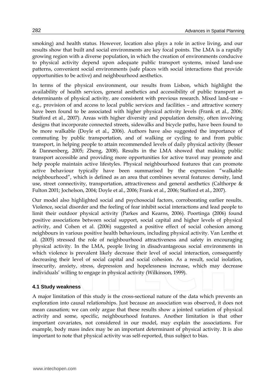smoking) and health status. However, location also plays a role in active living, and our results show that built and social environments are key focal points. The LMA is a rapidly growing region with a diverse population, in which the creation of environments conducive to physical activity depend upon adequate public transport systems, mixed land-use patterns, convenient social environments (safe places with social interactions that provide opportunities to be active) and neighbourhood aesthetics.

In terms of the physical environment, our results from Lisbon, which highlight the availability of health services, general aesthetics and accessibility of public transport as determinants of physical activity, are consistent with previous research. Mixed land-use – e.g., provision of and access to local public services and facilities – and attractive scenery have been found to be associated with higher physical activity levels (Frank et al., 2006; Stafford et al., 2007). Areas with higher diversity and population density, often involving designs that incorporate connected streets, sidewalks and bicycle paths, have been found to be more walkable (Doyle et al., 2006). Authors have also suggested the importance of commuting by public transportation, and of walking or cycling to and from public transport, in helping people to attain recommended levels of daily physical activity (Besser & Dannenberg, 2005; Zheng, 2008). Results in the LMA showed that making public transport accessible and providing more opportunities for active travel may promote and help people maintain active lifestyles. Physical neighbourhood features that can promote active behaviour typically have been summarised by the expression "walkable neighbourhood", which is defined as an area that combines several features: density, land use, street connectivity, transportation, attractiveness and general aesthetics (Calthorpe & Fulton 2001; Jochelson, 2004; Doyle et al., 2006; Frank et al., 2006; Stafford et al., 2007).

Our model also highlighted social and psychosocial factors, corroborating earlier results. Violence, social disorder and the feeling of fear inhibit social interactions and lead people to limit their outdoor physical activity (Parkes and Kearns, 2006). Poortinga (2006) found positive associations between social support, social capital and higher levels of physical activity, and Cohen et al. (2006) suggested a positive effect of social cohesion among neighbours in various positive health behaviours, including physical activity. Van Lenthe et al. (2005) stressed the role of neighbourhood attractiveness and safety in encouraging physical activity. In the LMA, people living in disadvantageous social environments in which violence is prevalent likely decrease their level of social interaction, consequently decreasing their level of social capital and social cohesion. As a result, social isolation, insecurity, anxiety, stress, depression and hopelessness increase, which may decrease individuals' willing to engage in physical activity (Wilkinson, 1999).

#### **4.1 Study weakness**

A major limitation of this study is the cross-sectional nature of the data which prevents an exploration into causal relationships. Just because an association was observed, it does not mean causation; we can only argue that these results show a jointed variation of physical activity and some, specific, neighbourhood features. Another limitation is that other important covariates, not considered in our model, may explain the associations. For example, body mass index may be an important determinant of physical activity. It is also important to note that physical activity was self-reported, thus subject to bias.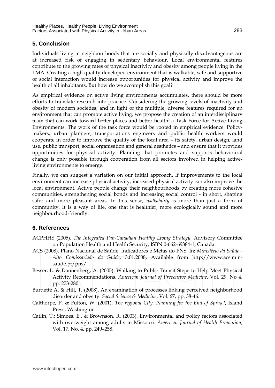# **5. Conclusion**

Individuals living in neighbourhoods that are socially and physically disadvantageous are at increased risk of engaging in sedentary behaviour. Local environmental features contribute to the growing rates of physical inactivity and obesity among people living in the LMA. Creating a high-quality developed environment that is walkable, safe and supportive of social interaction would increase opportunities for physical activity and improve the health of all inhabitants. But how do we accomplish this goal?

As empirical evidence on active living environments accumulates, there should be more efforts to translate research into practice. Considering the growing levels of inactivity and obesity of modern societies, and in light of the multiple, diverse features required for an environment that can promote active living, we propose the creation of an interdisciplinary team that can work toward better places and better health: a Task Force for Active Living Environments. The work of the task force would be rooted in empirical evidence. Policymakers, urban planners, transportations engineers and public health workers would cooperate in order to improve the quality of the local area – its safety, urban design, land use, public transport, social organisation and general aesthetics – and ensure that it provides opportunities for physical activity. Planning that promotes and supports behavioural change is only possible through cooperation from all sectors involved in helping activeliving environments to emerge.

Finally, we can suggest a variation on our initial approach. If improvements to the local environment can increase physical activity, increased physical activity can also improve the local environment. Active people change their neighbourhoods by creating more cohesive communities, strengthening social bonds and increasing social control - in short, shaping safer and more pleasant areas. In this sense, *walkability* is more than just a form of community. It is a way of life, one that is healthier, more ecologically sound and more neighbourhood-friendly.

# **6. References**

- ACPHHS (2005). *The Integrated Pan-Canadian Healthy Living Strategy*, Advisory Committee on Population Health and Health Security, ISBN 0-662-69384-1, Canada.
- ACS (2008). Plano Nacional de Saúde: Indicadores e Metas do PNS. In: *Ministério da Saúde Alto Comissariado da Saúde*, 3.01.2008, Available from http://www.acs.minsaude.pt/pns/.
- Besser, L. & Dannenberg, A. (2005). Walking to Public Transit Steps to Help Meet Physical Activity Recommendations. *American Journal of Preventive Medicine*, Vol. 29, No 4, pp. 273-280.
- Burdette A. & Hill, T. (2008). An examination of processes linking perceived neighborhood disorder and obesity. *Social Science & Medicine*, Vol. 67, pp. 38-46.
- Calthorpe, P. & Fulton, W. (2001). *The regional City. Planning for the End of Sprawl*, Island Press, Washington.
- Catlin, T.; Simoes, E., & Brownson, R. (2003). Environmental and policy factors associated with overweight among adults in Missouri. *American Journal of Health Promotion,* Vol. 17, No. 4, pp. 249–258.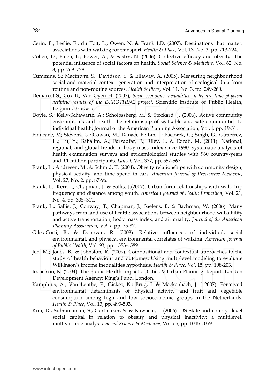- Cerin, E.; Leslie, E.; du Toit, L.; Owen, N. & Frank LD. (2007). Destinations that matter: associations with walking for transport. *Health & Place*, Vol. 13, No. 3, pp. 713-724.
- Cohen, D.; Finch, B.; Bower, A., & Sastry, N. (2006). Collective efficacy and obesity: The potential influence of social factors on health. *Social Science & Medicine*, Vol. 62, No. 3, pp. 769–778.
- Cummins, S.; Macintyre, S.; Davidson, S. & Ellaway, A. (2005). Measuring neighbourhood social and material context: generation and interpretation of ecological data from routine and non-routine sources. *Health & Place,* Vol. 11, No. 3, pp. 249-260.
- Demarest S.; Cox B., Van Oyen H. (2007), *Socio economic inequalities in leisure time physical activity: results of the EUROTHINE project*. Scientific Institute of Public Health, Belgium, Brussels.
- Doyle, S.; Kelly-Schawartz, A.; Scholossberg, M. & Stockard, J. (2006). Active community environments and health: the relationship of walkable and safe communities to individual health. Journal of the American Planning Association, Vol. I, pp. 19-31.
- Finucane, M; Stevens, G.; Cowan, M.; Danaei, F.; Lin, J.; Paciorek, C.; Singh, G.; Gutierrez, H.; Lu, Y.; Bahalim, A.; Farzadfar, F.; Riley, L. & Ezzati, M. (2011). National, regional, and global trends in body-mass index since 1980: systematic analysis of health examination surveys and epidemiological studies with 960 country-years and 9.1 million participants. *Lancet*, Vol. 377, pp. 557-567.
- Frank, L.; Andresen, M.; & Schmid, T. (2004). Obesity relationships with community design, physical activity, and time spend in cars. *American Journal of Preventive Medicine*, Vol. 27, No. 2, pp. 87-96.
- Frank, L.; Kerr, J., Chapman, J. & Sallis, J.(2007). Urban form relationships with walk trip frequency and distance among youth. *American Journal of Health Promotion,* Vol. 21, No. 4, pp. 305–311.
- Frank, L.; Sallis, J.; Conway, T.; Chapman, J.; Saelens, B. & Bachman, W. (2006). Many pathways from land use of health: associations between neighbourhood walkability and active transportation, body mass index, and air quality. *Journal of the American Planning Association, Vol. I*, pp. 75-87.
- Giles-Corti, B., & Donovan, R. (2003). Relative influences of individual, social environmental, and physical environmental correlates of walking. *American Journal of Public Health*, Vol. 93, pp. 1583-1589.
- Jen, M.; Jones, K. & Johnston, R. (2009). Compositional and contextual approaches to the study of health behaviour and outcomes: Using multi-level modeling to evaluate Wilkinson's income inequalities hypothesis. *Health & Place, Vol*. 15, pp. 198-203.
- Jochelson, K. (2004). The Public Health Impact of Cities & Urban Planning. Report. London Development Agency: King's Fund, London.
- Kamphius, A.; Van Lenthe, F.; Giskes, K.; Brug, J. & Mackenbach, J. ( 2007). Perceived environmental determinants of physical activity and fruit and vegetable consumption among high and low socioeconomic groups in the Netherlands. *Health & Place*, Vol. 13, pp. 493-503.
- Kim, D.; Subramanian, S.; Gortmaker, S. & Kawachi, I. (2006). US State-and county- level social capital in relation to obesity and physical inactivity: a multilevel, multivariable analysis. *Social Science & Medicine,* Vol. *63*, pp. 1045-1059.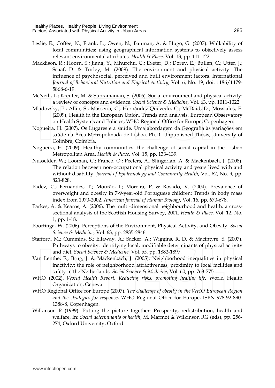- Leslie, E.; Coffee, N.; Frank, L.; Owen, N.; Bauman, A. & Hugo, G. (2007). Walkability of local communities: using geographical information systems to objectively assess relevant environmental attributes. *Health & Place,* Vol. 13, pp. 111-122.
- Maddison, R.; Hoorn, S.; Jiang, Y.; Mhurchu, C.; Exeter, D.; Dorey, E.; Bullen, C.; Utter, J.; Scaaf, D. & Turley, M. (2009). The environment and physical activity: The influence of psychosocial, perceived and built environment factors. International *Journal of Behavioral Nutrition and Physical Activity*, Vol. 6, No. 19, doi: 1186/1479- 5868-6-19.
- McNeill, L.; Kreuter, M. & Subramanian, S. (2006). Social environment and physical activity: a review of concepts and evidence. *Social Science & Medicine*, Vol. 63, pp. 1011-1022.
- Mladovsky, P.; Allin, S.; Masseria, C.; Hernández-Quevedo, C.; McDaid, D.; Mossialos, E. (2009), Health in the European Union. Trends and analysis. European Observatory on Health Systems and Policies, WHO Regional Office for Europe, Copenhagen.
- Nogueira, H. (2007). Os Lugares e a saúde. Uma abordagem da Geografia às variações em saúde na Área Metropolinada de Lisboa. Ph.D. Unpublished Thesis, University of Coimbra, Coimbra.
- Nogueira, H. (2009). Healthy communities: the challenge of social capital in the Lisbon Metropolitan Area. *Health & Place*, Vol. 15, pp. 133–139.
- Nusselder, W.; Looman, C.; Franco, O.; Peeters, A.; Slingerlan, A. & Mackenbach, J. (2008). The relation between non-occupational physical activity and years lived with and without disability. *Journal of Epidemiology and Community Health*, Vol. 62, No. 9, pp. 823-828.
- Padez, C.; Fernandes, T.; Mourão, I.; Moreira, P. & Rosado, V. (2004). Prevalence of overweight and obesity in 7-9-year-old Portuguese children: Trends in body mass index from 1970-2002. *American Journal of Human Biology*, Vol. 16, pp. 670-678.
- Parkes, A. & Kearns, A. (2006). The multi-dimensional neighbourhood and health: a crosssectional analysis of the Scottish Housing Survey, 2001. *Health & Place*, Vol. 12, No. 1, pp. 1-18.
- Poortinga, W. (2006). Perceptions of the Environment, Physical Activity, and Obesity. *Social Science & Medicine,* Vol. 63, pp. 2835-2846.
- Stafford, M.; Cummins, S.; Ellaway, A.; Sacker, A.; Wiggins, R. D. & Macintyre, S. (2007). Pathways to obesity: identifying local, modifiable determinants of physical activity and diet. *Social Science & Medicine*, Vol. *65,* pp. 1882-1897.
- Van Lenthe, F.; Brug, J. & Mackenbach, J. (2005). Neighborhood inequalities in physical inactivity: the role of neighborhood attractiveness, proximity to local facilities and safety in the Netherlands. *Social Science & Medicine*, Vol. 60, pp. 763-775.
- WHO (2002). *World Health Report, Reducing risks, promoting healthy life*. World Health Organization, Geneva.
- WHO Regional Office for Europe (2007). *The challenge of obesity in the WHO European Region and the strategies for response*, WHO Regional Office for Europe, ISBN 978-92-890- 1388-8, Copenhagen.
- Wilkinson R (1999). Putting the picture together: Prosperity, redistribution, health and welfare, In: *Social determinants of health*, M. Marmot & Wilkinson RG (eds), pp. 256- 274, Oxford University, Oxford.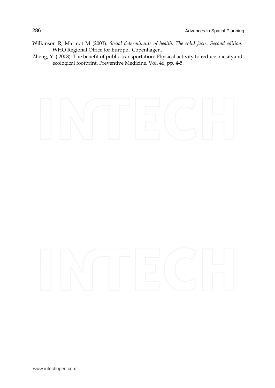Wilkinson R, Marmot M (2003). *Social determinants of health: The solid facts. Second edition*. WHO Regional Office for Europe , Copenhagen.

Zheng, Y. ( 2008). The benefit of public transportation: Physical activity to reduce obesityand ecological footprint. Preventive Medicine, Vol. 46, pp. 4-5.